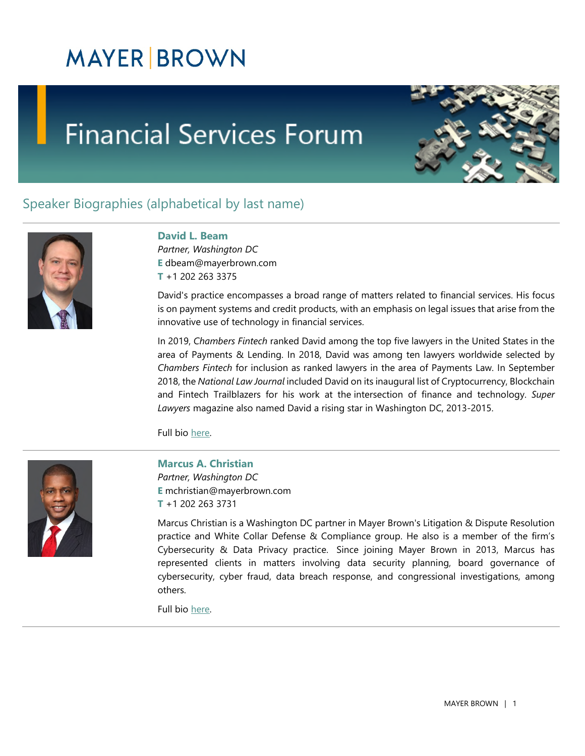## **Financial Services Forum**



### Speaker Biographies (alphabetical by last name)



### **David L. Beam**

*Partner, Washington DC*  **E** [dbeam@mayerbrown.com](mailto:dbeam@mayerbrown.com)  **T** +1 202 263 3375

David's practice encompasses a broad range of matters related to financial services. His focus is on payment systems and credit products, with an emphasis on legal issues that arise from the innovative use of technology in financial services.

In 2019, *Chambers Fintech* ranked David among the top five lawyers in the United States in the area of Payments & Lending. In 2018, David was among ten lawyers worldwide selected by *Chambers Fintech* for inclusion as ranked lawyers in the area of Payments Law. In September 2018, the *National Law Journal* included David on its inaugural list of Cryptocurrency, Blockchain and Fintech Trailblazers for his work at the intersection of finance and technology. *Super Lawyers* magazine also named David a rising star in Washington DC, 2013-2015.

Full bio [here.](https://www.mayerbrown.com/en/people/b/beam-david-l?tab=overview)



#### **Marcus A. Christian**

*Partner, Washington DC*  **E** mchristian@mayerbrown.com **T** +1 202 263 3731

Marcus Christian is a Washington DC partner in Mayer Brown's Litigation & Dispute Resolution practice and White Collar Defense & Compliance group. He also is a member of the firm's Cybersecurity & Data Privacy practice. Since joining Mayer Brown in 2013, Marcus has represented clients in matters involving data security planning, board governance of cybersecurity, cyber fraud, data breach response, and congressional investigations, among others.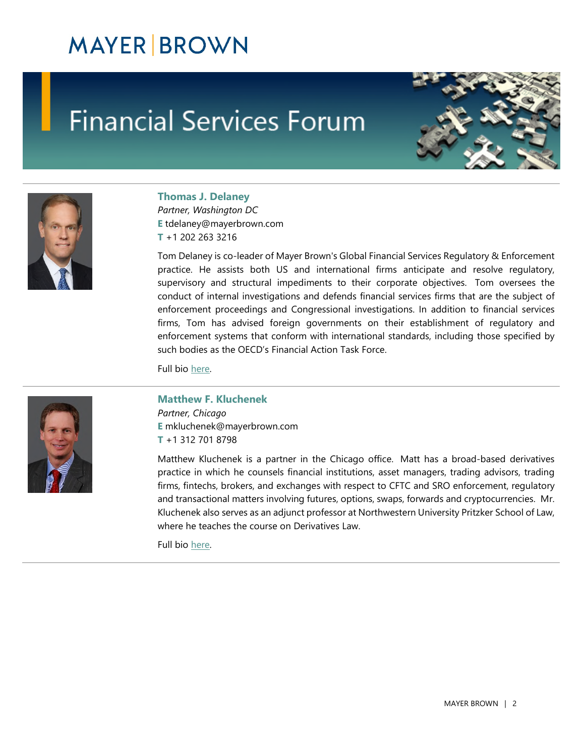## **Financial Services Forum**





### **Thomas J. Delaney**

*Partner, Washington DC*  **E** tdelaney@mayerbrown.com **T** +1 202 263 3216

Tom Delaney is co-leader of Mayer Brown's Global Financial Services Regulatory & Enforcement practice. He assists both US and international firms anticipate and resolve regulatory, supervisory and structural impediments to their corporate objectives. Tom oversees the conduct of internal investigations and defends financial services firms that are the subject of enforcement proceedings and Congressional investigations. In addition to financial services firms, Tom has advised foreign governments on their establishment of regulatory and enforcement systems that conform with international standards, including those specified by such bodies as the OECD's Financial Action Task Force.

Full bio [here.](https://www.mayerbrown.com/en/people/d/delaney-thomas-j?tab=overview)

#### **Matthew F. Kluchenek**

*Partner, Chicago*  **E** mkluchenek@mayerbrown.com **T** +1 312 701 8798

Matthew Kluchenek is a partner in the Chicago office. Matt has a broad-based derivatives practice in which he counsels financial institutions, asset managers, trading advisors, trading firms, fintechs, brokers, and exchanges with respect to CFTC and SRO enforcement, regulatory and transactional matters involving futures, options, swaps, forwards and cryptocurrencies. Mr. Kluchenek also serves as an adjunct professor at Northwestern University Pritzker School of Law, where he teaches the course on Derivatives Law.

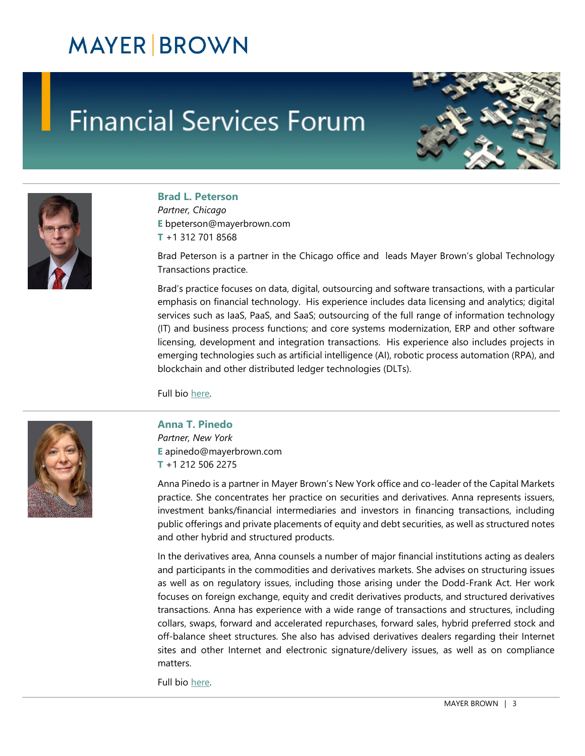## **Financial Services Forum**





#### **Brad L. Peterson**

*Partner, Chicago*  **E** bpeterson@mayerbrown.com **T** +1 312 701 8568

Brad Peterson is a partner in the Chicago office and leads Mayer Brown's global Technology Transactions practice.

Brad's practice focuses on data, digital, outsourcing and software transactions, with a particular emphasis on financial technology. His experience includes data licensing and analytics; digital services such as IaaS, PaaS, and SaaS; outsourcing of the full range of information technology (IT) and business process functions; and core systems modernization, ERP and other software licensing, development and integration transactions. His experience also includes projects in emerging technologies such as artificial intelligence (AI), robotic process automation (RPA), and blockchain and other distributed ledger technologies (DLTs).

Full bio [here.](https://www.mayerbrown.com/en/people/p/peterson-brad-l?tab=overview)



#### **Anna T. Pinedo**

*Partner, New York*  **E** apinedo@mayerbrown.com **T** +1 212 506 2275

Anna Pinedo is a partner in Mayer Brown's New York office and co-leader of the Capital Markets practice. She concentrates her practice on securities and derivatives. Anna represents issuers, investment banks/financial intermediaries and investors in financing transactions, including public offerings and private placements of equity and debt securities, as well as structured notes and other hybrid and structured products.

In the derivatives area, Anna counsels a number of major financial institutions acting as dealers and participants in the commodities and derivatives markets. She advises on structuring issues as well as on regulatory issues, including those arising under the Dodd-Frank Act. Her work focuses on foreign exchange, equity and credit derivatives products, and structured derivatives transactions. Anna has experience with a wide range of transactions and structures, including collars, swaps, forward and accelerated repurchases, forward sales, hybrid preferred stock and off-balance sheet structures. She also has advised derivatives dealers regarding their Internet sites and other Internet and electronic signature/delivery issues, as well as on compliance matters.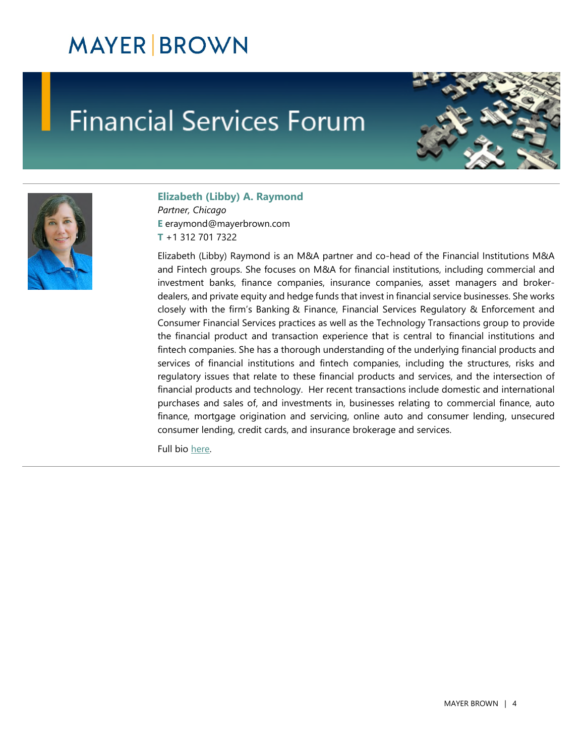## **Financial Services Forum**





#### **Elizabeth (Libby) A. Raymond**

*Partner, Chicago*  **E** eraymond@mayerbrown.com **T** +1 312 701 7322

Elizabeth (Libby) Raymond is an M&A partner and co-head of the Financial Institutions M&A and Fintech groups. She focuses on M&A for financial institutions, including commercial and investment banks, finance companies, insurance companies, asset managers and brokerdealers, and private equity and hedge funds that invest in financial service businesses. She works closely with the firm's Banking & Finance, Financial Services Regulatory & Enforcement and Consumer Financial Services practices as well as the Technology Transactions group to provide the financial product and transaction experience that is central to financial institutions and fintech companies. She has a thorough understanding of the underlying financial products and services of financial institutions and fintech companies, including the structures, risks and regulatory issues that relate to these financial products and services, and the intersection of financial products and technology. Her recent transactions include domestic and international purchases and sales of, and investments in, businesses relating to commercial finance, auto finance, mortgage origination and servicing, online auto and consumer lending, unsecured consumer lending, credit cards, and insurance brokerage and services.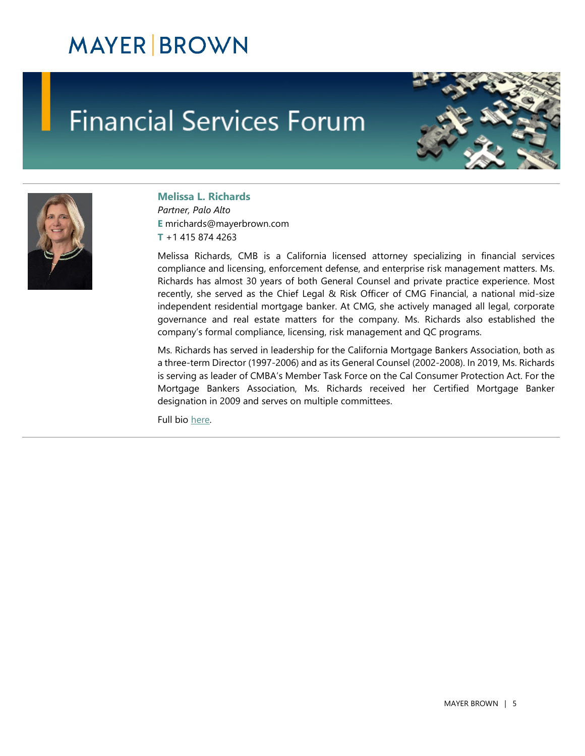# **Financial Services Forum**





### **Melissa L. Richards**

*Partner, Palo Alto*  **E** mrichards@mayerbrown.com **T** +1 415 874 4263

Melissa Richards, CMB is a California licensed attorney specializing in financial services compliance and licensing, enforcement defense, and enterprise risk management matters. Ms. Richards has almost 30 years of both General Counsel and private practice experience. Most recently, she served as the Chief Legal & Risk Officer of CMG Financial, a national mid-size independent residential mortgage banker. At CMG, she actively managed all legal, corporate governance and real estate matters for the company. Ms. Richards also established the company's formal compliance, licensing, risk management and QC programs.

Ms. Richards has served in leadership for the California Mortgage Bankers Association, both as a three-term Director (1997-2006) and as its General Counsel (2002-2008). In 2019, Ms. Richards is serving as leader of CMBA's Member Task Force on the Cal Consumer Protection Act. For the Mortgage Bankers Association, Ms. Richards received her Certified Mortgage Banker designation in 2009 and serves on multiple committees.

Full bio [here.](https://www.mayerbrown.com/en/people/r/richards-melissa-l?tab=overview)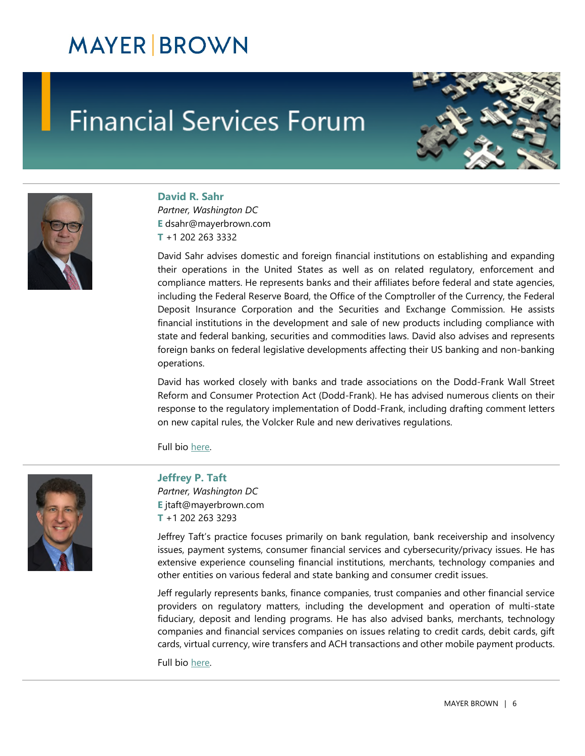## **Financial Services Forum**





### **David R. Sahr**

*Partner, Washington DC*  **E** dsahr@mayerbrown.com **T** +1 202 263 3332

David Sahr advises domestic and foreign financial institutions on establishing and expanding their operations in the United States as well as on related regulatory, enforcement and compliance matters. He represents banks and their affiliates before federal and state agencies, including the Federal Reserve Board, the Office of the Comptroller of the Currency, the Federal Deposit Insurance Corporation and the Securities and Exchange Commission. He assists financial institutions in the development and sale of new products including compliance with state and federal banking, securities and commodities laws. David also advises and represents foreign banks on federal legislative developments affecting their US banking and non-banking operations.

David has worked closely with banks and trade associations on the Dodd-Frank Wall Street Reform and Consumer Protection Act (Dodd-Frank). He has advised numerous clients on their response to the regulatory implementation of Dodd-Frank, including drafting comment letters on new capital rules, the Volcker Rule and new derivatives regulations.

Full bio [here.](https://www.mayerbrown.com/en/people/s/sahr-david-r?tab=overview)



### **Jeffrey P. Taft**

*Partner, Washington DC*  **E** jtaft@mayerbrown.com **T** +1 202 263 3293

Jeffrey Taft's practice focuses primarily on bank regulation, bank receivership and insolvency issues, payment systems, consumer financial services and cybersecurity/privacy issues. He has extensive experience counseling financial institutions, merchants, technology companies and other entities on various federal and state banking and consumer credit issues.

Jeff regularly represents banks, finance companies, trust companies and other financial service providers on regulatory matters, including the development and operation of multi-state fiduciary, deposit and lending programs. He has also advised banks, merchants, technology companies and financial services companies on issues relating to credit cards, debit cards, gift cards, virtual currency, wire transfers and ACH transactions and other mobile payment products.